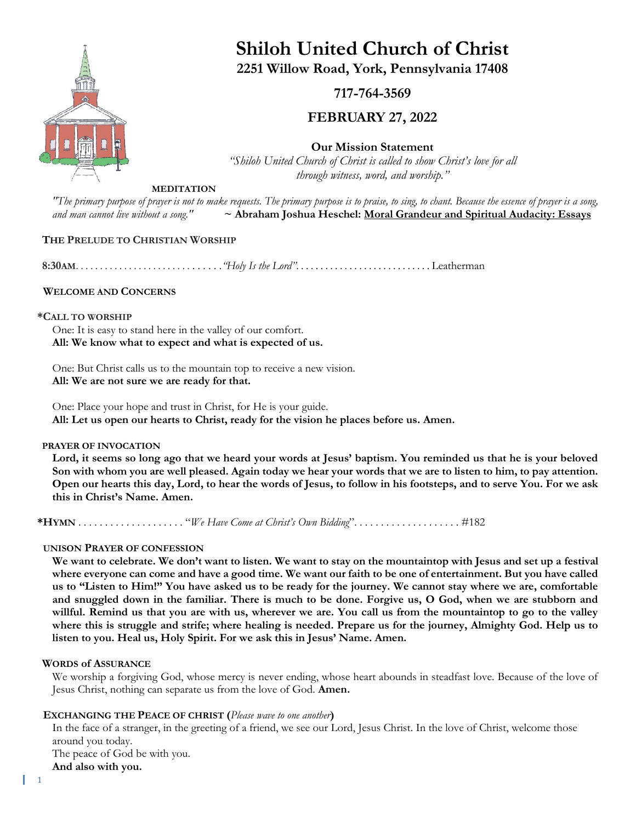

# **Shiloh United Church of Christ 2251 Willow Road, York, Pennsylvania 17408**

# **717-764-3569**

# **FEBRUARY 27, 2022**

**Our Mission Statement**

*"Shiloh United Church of Christ is called to show Christ's love for all through witness, word, and worship."*

**MEDITATION**

*"The primary purpose of prayer is not to make requests. The primary purpose is to praise, to sing, to chant. Because the essence of prayer is a song, and man cannot live without a song."* **~ Abraham Joshua Heschel: Moral Grandeur and Spiritual Audacity: Essays**

#### **THE PRELUDE TO CHRISTIAN WORSHIP**

**8:30AM**. . . . . . . . . . . . . . . . . . . . . . . . *. . . . . ."Holy Is the Lord"*. . . . . . . . . . . . . . . . . . . . . . . . . . . . Leatherman

#### **WELCOME AND CONCERNS**

#### **\*CALL TO WORSHIP**

One: It is easy to stand here in the valley of our comfort. **All: We know what to expect and what is expected of us.**

One: But Christ calls us to the mountain top to receive a new vision. **All: We are not sure we are ready for that.**

One: Place your hope and trust in Christ, for He is your guide. **All: Let us open our hearts to Christ, ready for the vision he places before us. Amen.**

#### **PRAYER OF INVOCATION**

**Lord, it seems so long ago that we heard your words at Jesus' baptism. You reminded us that he is your beloved Son with whom you are well pleased. Again today we hear your words that we are to listen to him, to pay attention. Open our hearts this day, Lord, to hear the words of Jesus, to follow in his footsteps, and to serve You. For we ask this in Christ's Name. Amen.**

**\*HYMN** . . . . . . . . . . . . . . . . . . . . "*We Have Come at Christ's Own Bidding*". . . . . . . . . . . . . . . . . . . . #182

#### **UNISON PRAYER OF CONFESSION**

**We want to celebrate. We don't want to listen. We want to stay on the mountaintop with Jesus and set up a festival where everyone can come and have a good time. We want our faith to be one of entertainment. But you have called us to "Listen to Him!" You have asked us to be ready for the journey. We cannot stay where we are, comfortable and snuggled down in the familiar. There is much to be done. Forgive us, O God, when we are stubborn and willful. Remind us that you are with us, wherever we are. You call us from the mountaintop to go to the valley where this is struggle and strife; where healing is needed. Prepare us for the journey, Almighty God. Help us to listen to you. Heal us, Holy Spirit. For we ask this in Jesus' Name. Amen.**

#### **WORDS of ASSURANCE**

We worship a forgiving God, whose mercy is never ending, whose heart abounds in steadfast love. Because of the love of Jesus Christ, nothing can separate us from the love of God. **Amen.**

#### **EXCHANGING THE PEACE OF CHRIST (***Please wave to one another***)**

In the face of a stranger, in the greeting of a friend, we see our Lord, Jesus Christ. In the love of Christ, welcome those around you today.

The peace of God be with you.

**And also with you.**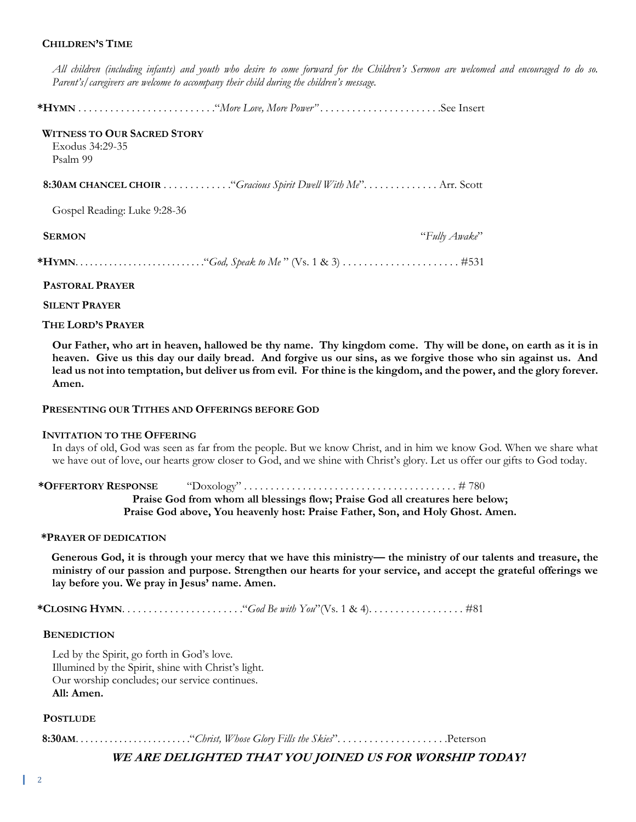#### **CHILDREN'S TIME**

*All children (including infants) and youth who desire to come forward for the Children's Sermon are welcomed and encouraged to do so. Parent's/caregivers are welcome to accompany their child during the children's message.*

**\*HYMN** . . . . . . . . . . . . . . . . . . . . . . . . . ."*More Love, More Power" . . . . . . . . . . . . . . . . . . . . . . .*See Insert

### **WITNESS TO OUR SACRED STORY**

Exodus 34:29-35 Psalm 99

**8:30AM CHANCEL CHOIR** . . . . . . . . . . . . ."*Gracious Spirit Dwell With Me*". . . . . . . . . . . . . . Arr. Scott

Gospel Reading: Luke 9:28-36

# **SERMON** "*Fully Awake*"

**\*HYMN**. . . . . . . . . . . . . . . . . . . . . . . . . . ."*God, Speak to Me* " (Vs. 1 & 3) . . . . . . . . . . . . . . . . . . . . . . #531

#### **PASTORAL PRAYER**

#### **SILENT PRAYER**

#### **THE LORD'S PRAYER**

**Our Father, who art in heaven, hallowed be thy name. Thy kingdom come. Thy will be done, on earth as it is in heaven. Give us this day our daily bread. And forgive us our sins, as we forgive those who sin against us. And lead us not into temptation, but deliver us from evil. For thine is the kingdom, and the power, and the glory forever. Amen.**

#### **PRESENTING OUR TITHES AND OFFERINGS BEFORE GOD**

#### **INVITATION TO THE OFFERING**

In days of old, God was seen as far from the people. But we know Christ, and in him we know God. When we share what we have out of love, our hearts grow closer to God, and we shine with Christ's glory. Let us offer our gifts to God today.

**\*OFFERTORY RESPONSE** "Doxology" . . . . . . . . . . . . . . . . . . . . . . . . . . . . . . . . . . . . . . . . # 780 **Praise God from whom all blessings flow; Praise God all creatures here below; Praise God above, You heavenly host: Praise Father, Son, and Holy Ghost. Amen.**

#### **\*PRAYER OF DEDICATION**

**Generous God, it is through your mercy that we have this ministry— the ministry of our talents and treasure, the ministry of our passion and purpose. Strengthen our hearts for your service, and accept the grateful offerings we lay before you. We pray in Jesus' name. Amen.**

**\*CLOSING HYMN**. . . . . . . . . . . . . . . . . . . . . . ."*God Be with You*"(Vs. 1 & 4). . . . . . . . . . . . . . . . . . #81

#### **BENEDICTION**

Led by the Spirit, go forth in God's love. Illumined by the Spirit, shine with Christ's light. Our worship concludes; our service continues. **All: Amen.**

#### **POSTLUDE**

 **8:30AM**. . . . . . . . . . . . . . . . . . . . . . . ."*Christ, Whose Glory Fills the Skies*". . . . . . . . . . . . . . . . . . . . .Peterson

## **WE ARE DELIGHTED THAT YOU JOINED US FOR WORSHIP TODAY!**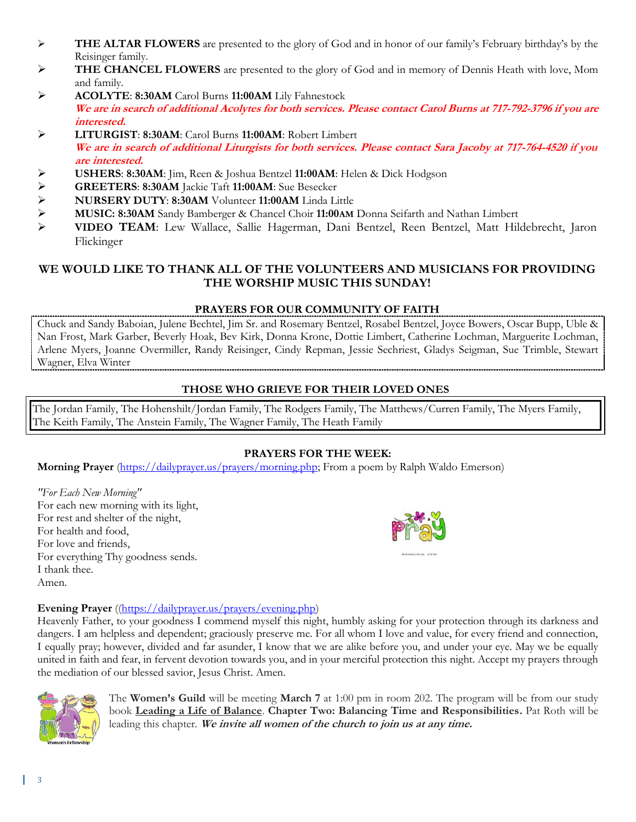- ➢ **THE ALTAR FLOWERS** are presented to the glory of God and in honor of our family's February birthday's by the Reisinger family.
- ➢ **THE CHANCEL FLOWERS** are presented to the glory of God and in memory of Dennis Heath with love, Mom and family.
- ➢ **ACOLYTE**: **8:30AM** Carol Burns **11:00AM** Lily Fahnestock **We are in search of additional Acolytes for both services. Please contact Carol Burns at 717-792-3796 if you are interested.**
- ➢ **LITURGIST**: **8:30AM**: Carol Burns **11:00AM**: Robert Limbert **We are in search of additional Liturgists for both services. Please contact Sara Jacoby at 717-764-4520 if you are interested.**
- ➢ **USHERS**: **8:30AM**: Jim, Reen & Joshua Bentzel **11:00AM**: Helen & Dick Hodgson
- 
- ➢ **GREETERS**: **8:30AM** Jackie Taft **11:00AM**: Sue Besecker ➢ **NURSERY DUTY**: **8:30AM** Volunteer **11:00AM** Linda Little
- ➢ **MUSIC: 8:30AM** Sandy Bamberger & Chancel Choir **11:00AM** Donna Seifarth and Nathan Limbert
- ➢ **VIDEO TEAM**: Lew Wallace, Sallie Hagerman, Dani Bentzel, Reen Bentzel, Matt Hildebrecht, Jaron Flickinger

# **WE WOULD LIKE TO THANK ALL OF THE VOLUNTEERS AND MUSICIANS FOR PROVIDING THE WORSHIP MUSIC THIS SUNDAY!**

# **PRAYERS FOR OUR COMMUNITY OF FAITH**

Chuck and Sandy Baboian, Julene Bechtel, Jim Sr. and Rosemary Bentzel, Rosabel Bentzel, Joyce Bowers, Oscar Bupp, Uble & Nan Frost, Mark Garber, Beverly Hoak, Bev Kirk, Donna Krone, Dottie Limbert, Catherine Lochman, Marguerite Lochman, Arlene Myers, Joanne Overmiller, Randy Reisinger, Cindy Repman, Jessie Sechriest, Gladys Seigman, Sue Trimble, Stewart Wagner, Elva Winter

# **THOSE WHO GRIEVE FOR THEIR LOVED ONES**

The Jordan Family, The Hohenshilt/Jordan Family, The Rodgers Family, The Matthews/Curren Family, The Myers Family, The Keith Family, The Anstein Family, The Wagner Family, The Heath Family

# **PRAYERS FOR THE WEEK:**

**Morning Prayer** [\(https://dailyprayer.us/prayers/morning.php;](https://dailyprayer.us/prayers/morning.php) From a poem by Ralph Waldo Emerson)

*"For Each New Morning"* For each new morning with its light, For rest and shelter of the night, For health and food, For love and friends, For everything Thy goodness sends. I thank thee. Amen.



## **Evening Prayer** ([\(https://dailyprayer.us/prayers/evening.php\)](https://dailyprayer.us/prayers/evening.php)

Heavenly Father, to your goodness I commend myself this night, humbly asking for your protection through its darkness and dangers. I am helpless and dependent; graciously preserve me. For all whom I love and value, for every friend and connection, I equally pray; however, divided and far asunder, I know that we are alike before you, and under your eye. May we be equally united in faith and fear, in fervent devotion towards you, and in your merciful protection this night. Accept my prayers through the mediation of our blessed savior, Jesus Christ. Amen.



The **Women's Guild** will be meeting **March 7** at 1:00 pm in room 202. The program will be from our study book **Leading a Life of Balance**. **Chapter Two: Balancing Time and Responsibilities.** Pat Roth will be leading this chapter*.* **We invite all women of the church to join us at any time.**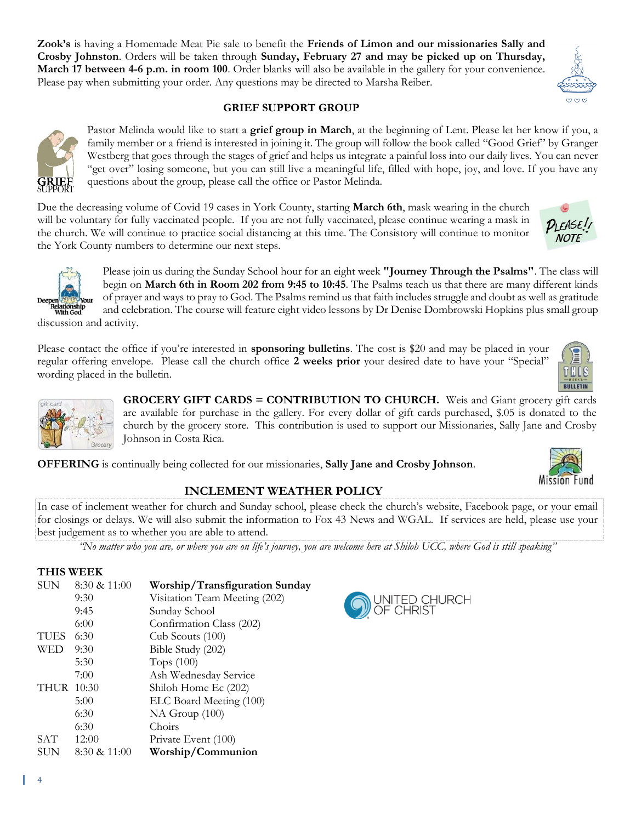**THIS WEEK** 

| WED        | 9:30         | Bible Study (202)       |
|------------|--------------|-------------------------|
|            | 5:30         | Tops $(100)$            |
|            | 7:00         | Ash Wednesday Service   |
| THUR 10:30 |              | Shiloh Home Ec (202)    |
|            | 5:00         | ELC Board Meeting (100) |
|            | 6:30         | NA Group (100)          |
|            | 6:30         | Choirs                  |
| <b>SAT</b> | 12:00        | Private Event (100)     |
| <b>SUN</b> | 8:30 & 11:00 | Worship/Communion       |
|            |              |                         |

TUES 6:30 Cub Scouts (100)

9:45 Sunday School

SUN 8:30 & 11:00 **Worship/Transfiguration Sunday** 9:30 Visitation Team Meeting (202)

6:00 Confirmation Class (202)

**Zook's** is having a Homemade Meat Pie sale to benefit the **Friends of Limon and our missionaries Sally and Crosby Johnston**. Orders will be taken through **Sunday, February 27 and may be picked up on Thursday, March 17 between 4-6 p.m. in room 100**. Order blanks will also be available in the gallery for your convenience. Please pay when submitting your order. Any questions may be directed to Marsha Reiber.

# **GRIEF SUPPORT GROUP**

Pastor Melinda would like to start a **grief group in March**, at the beginning of Lent. Please let her know if you, a family member or a friend is interested in joining it. The group will follow the book called "Good Grief" by Granger Westberg that goes through the stages of grief and helps us integrate a painful loss into our daily lives. You can never "get over" losing someone, but you can still live a meaningful life, filled with hope, joy, and love. If you have any questions about the group, please call the office or Pastor Melinda.

Due the decreasing volume of Covid 19 cases in York County, starting **March 6th**, mask wearing in the church will be voluntary for fully vaccinated people. If you are not fully vaccinated, please continue wearing a mask in the church. We will continue to practice social distancing at this time. The Consistory will continue to monitor the York County numbers to determine our next steps.

Please join us during the Sunday School hour for an eight week **"Journey Through the Psalms"**. The class will begin on **March 6th in Room 202 from 9:45 to 10:45**. The Psalms teach us that there are many different kinds of prayer and ways to pray to God. The Psalms remind us that faith includes struggle and doubt as well as gratitude Your and celebration. The course will feature eight video lessons by Dr Denise Dombrowski Hopkins plus small group discussion and activity.

Please contact the office if you're interested in **sponsoring bulletins**. The cost is \$20 and may be placed in your regular offering envelope. Please call the church office **2 weeks prior** your desired date to have your "Special" wording placed in the bulletin.

> **GROCERY GIFT CARDS = CONTRIBUTION TO CHURCH.** Weis and Giant grocery gift cards are available for purchase in the gallery. For every dollar of gift cards purchased, \$.05 is donated to the church by the grocery store. This contribution is used to support our Missionaries, Sally Jane and Crosby Johnson in Costa Rica.

**OFFERING** is continually being collected for our missionaries, **Sally Jane and Crosby Johnson**.

# **INCLEMENT WEATHER POLICY**

In case of inclement weather for church and Sunday school, please check the church's website, Facebook page, or your email for closings or delays. We will also submit the information to Fox 43 News and WGAL. If services are held, please use your best judgement as to whether you are able to attend.

*"No matter who you are, or where you are on life's journey, you are welcome here at Shiloh UCC, where God is still speaking"*

# UNITED CHURCH<br>OF CHRIST





Mission Fund